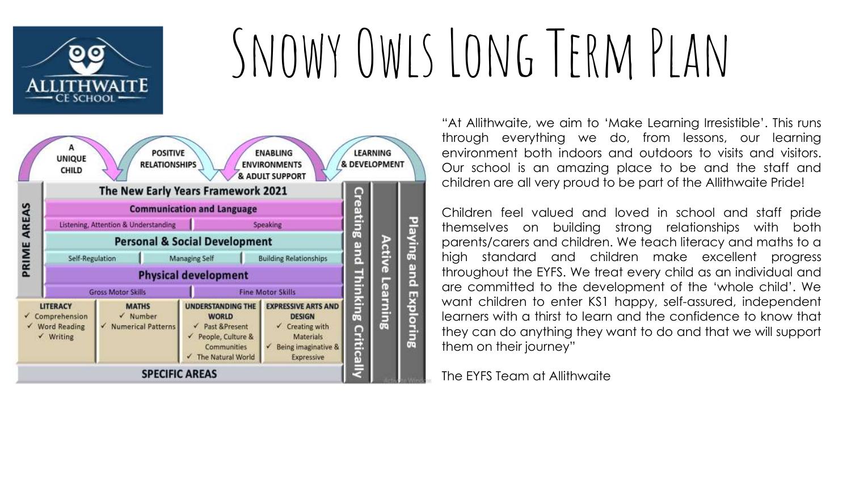

# Snowy Owls Long Term Plan



"At Allithwaite, we aim to 'Make Learning Irresistible'. This runs through everything we do, from lessons, our learning environment both indoors and outdoors to visits and visitors. Our school is an amazing place to be and the staff and children are all very proud to be part of the Allithwaite Pride!

Children feel valued and loved in school and staff pride themselves on building strong relationships with both parents/carers and children. We teach literacy and maths to a high standard and children make excellent progress throughout the EYFS. We treat every child as an individual and are committed to the development of the 'whole child'. We want children to enter KS1 happy, self-assured, independent learners with a thirst to learn and the confidence to know that they can do anything they want to do and that we will support them on their journey"

The EYFS Team at Allithwaite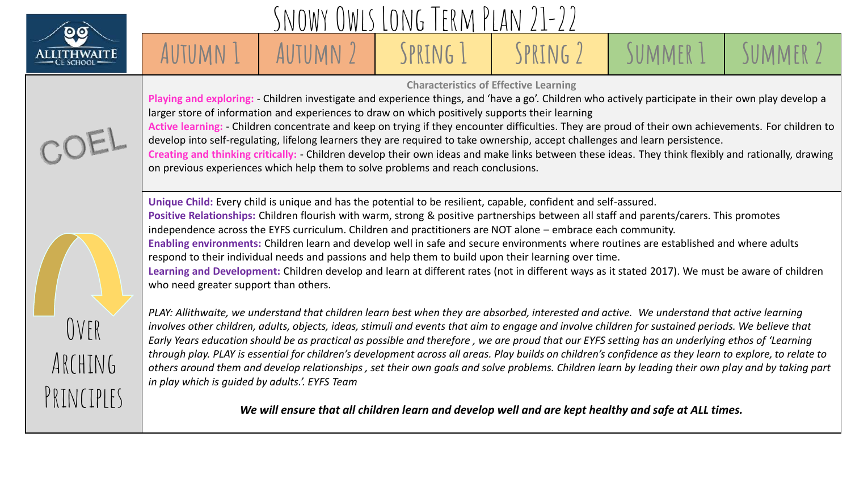

## Owls Long Term Plan

### **Autumn 1 Autumn 2 Spring 1 Spring 2 Summer 1 Summer 2**

**Characteristics of Effective Learning** 

**Playing and exploring:** - Children investigate and experience things, and 'have a go'. Children who actively participate in their own play develop a larger store of information and experiences to draw on which positively supports their learning



**Active learning:** - Children concentrate and keep on trying if they encounter difficulties. They are proud of their own achievements. For children to develop into self-regulating, lifelong learners they are required to take ownership, accept challenges and learn persistence. **Creating and thinking critically:** - Children develop their own ideas and make links between these ideas. They think flexibly and rationally, drawing on previous experiences which help them to solve problems and reach conclusions.

**Unique Child:** Every child is unique and has the potential to be resilient, capable, confident and self-assured. **Positive Relationships:** Children flourish with warm, strong & positive partnerships between all staff and parents/carers. This promotes independence across the EYFS curriculum. Children and practitioners are NOT alone – embrace each community. **Enabling environments:** Children learn and develop well in safe and secure environments where routines are established and where adults respond to their individual needs and passions and help them to build upon their learning over time. **Learning and Development:** Children develop and learn at different rates (not in different ways as it stated 2017). We must be aware of children who need greater support than others.



*PLAY: Allithwaite, we understand that children learn best when they are absorbed, interested and active. We understand that active learning involves other children, adults, objects, ideas, stimuli and events that aim to engage and involve children for sustained periods. We believe that Early Years education should be as practical as possible and therefore , we are proud that our EYFS setting has an underlying ethos of 'Learning through play. PLAY is essential for children's development across all areas. Play builds on children's confidence as they learn to explore, to relate to others around them and develop relationships , set their own goals and solve problems. Children learn by leading their own play and by taking part in play which is guided by adults.'. EYFS Team*

*We will ensure that all children learn and develop well and are kept healthy and safe at ALL times.*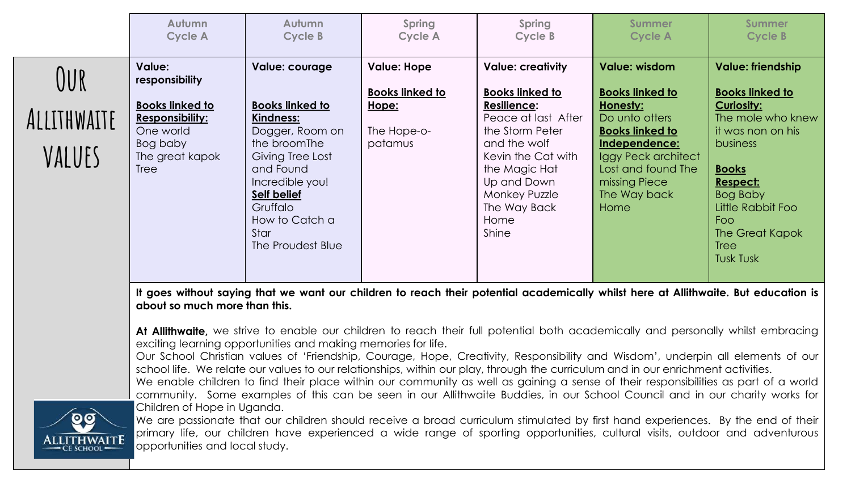| <b>Value: Hope</b><br><b>Value: creativity</b><br><b>Value: wisdom</b><br><b>Value:</b><br>Value: courage<br>responsibility                                                                                                                                                                                                                                                                                                                                                                                                                                                                                                                                                                                                                                                                                                                                                                  |     | Autumn<br><b>Cycle A</b> | Autumn<br><b>Cycle B</b> | Spring<br><b>Cycle A</b> | Spring<br>Cycle B      | <b>Summer</b><br><b>Cycle A</b> | <b>Summer</b><br><b>Cycle B</b>                                                                                                      |
|----------------------------------------------------------------------------------------------------------------------------------------------------------------------------------------------------------------------------------------------------------------------------------------------------------------------------------------------------------------------------------------------------------------------------------------------------------------------------------------------------------------------------------------------------------------------------------------------------------------------------------------------------------------------------------------------------------------------------------------------------------------------------------------------------------------------------------------------------------------------------------------------|-----|--------------------------|--------------------------|--------------------------|------------------------|---------------------------------|--------------------------------------------------------------------------------------------------------------------------------------|
| <b>Books linked to</b><br><b>Books linked to</b><br><b>Curiosity:</b><br><b>Resilience:</b><br>Honesty:<br><u>Hope:</u><br>ALLITHWAITE<br><b>Responsibility:</b><br><b>Kindness:</b><br>Peace at last After<br>Do unto otters<br>One world<br>Dogger, Room on<br>The Hope-o-<br>the Storm Peter<br><b>Books linked to</b><br>the broomThe<br>patamus<br>Independence:<br>Bog baby<br>and the wolf<br><b>business</b><br>VALUES<br>The great kapok<br>Giving Tree Lost<br>Kevin the Cat with<br>Iggy Peck architect<br>Lost and found The<br>and Found<br><b>Books</b><br><b>Tree</b><br>the Magic Hat<br>Incredible you!<br>Up and Down<br>missing Piece<br>Respect:<br><b>Self belief</b><br>The Way back<br>Monkey Puzzle<br>Bog Baby<br>Gruffalo<br>The Way Back<br>Home<br>How to Catch a<br><b>Foo</b><br>Home<br>Shine<br>Star<br>The Proudest Blue<br><b>Tree</b><br><b>Tusk Tusk</b> | JUR |                          |                          | <b>Books linked to</b>   | <b>Books linked to</b> | <b>Books linked to</b>          | <b>Value: friendship</b><br><b>Books linked to</b><br>The mole who knew<br>it was non on his<br>Little Rabbit Foo<br>The Great Kapok |

It goes without saying that we want our children to reach their potential academically whilst here at Allithwaite. But education is **about so much more than this.**

**At Allithwaite,** we strive to enable our children to reach their full potential both academically and personally whilst embracing exciting learning opportunities and making memories for life.

Our School Christian values of 'Friendship, Courage, Hope, Creativity, Responsibility and Wisdom', underpin all elements of our school life. We relate our values to our relationships, within our play, through the curriculum and in our enrichment activities.

We enable children to find their place within our community as well as gaining a sense of their responsibilities as part of a world community. Some examples of this can be seen in our Allithwaite Buddies, in our School Council and in our charity works for Children of Hope in Uganda.



We are passionate that our children should receive a broad curriculum stimulated by first hand experiences. By the end of their primary life, our children have experienced a wide range of sporting opportunities, cultural visits, outdoor and adventurous opportunities and local study.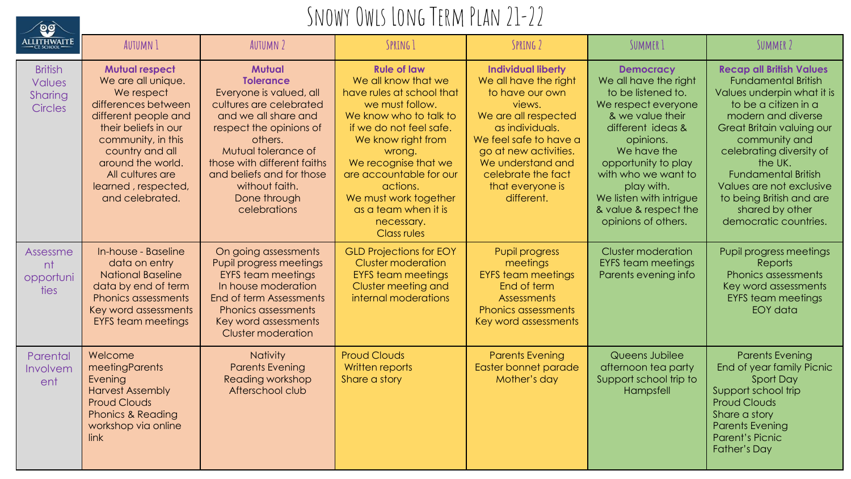

#### SNOWY OWLS LONG TERM PLAN 21-22

| <b>ALLITHWAITE</b>                                    | <b>AUTUMN 1</b>                                                                                                                                                                                                                                              | <b>AUTUMN 2</b>                                                                                                                                                                                                                                                                            | SPRING 1                                                                                                                                                                                                                                                                                                                           | SPRING 2                                                                                                                                                                                                                                                   | SUMMER 1                                                                                                                                                                                                                                                                                           | SUMMER 2                                                                                                                                                                                                                                                                                                                                                         |
|-------------------------------------------------------|--------------------------------------------------------------------------------------------------------------------------------------------------------------------------------------------------------------------------------------------------------------|--------------------------------------------------------------------------------------------------------------------------------------------------------------------------------------------------------------------------------------------------------------------------------------------|------------------------------------------------------------------------------------------------------------------------------------------------------------------------------------------------------------------------------------------------------------------------------------------------------------------------------------|------------------------------------------------------------------------------------------------------------------------------------------------------------------------------------------------------------------------------------------------------------|----------------------------------------------------------------------------------------------------------------------------------------------------------------------------------------------------------------------------------------------------------------------------------------------------|------------------------------------------------------------------------------------------------------------------------------------------------------------------------------------------------------------------------------------------------------------------------------------------------------------------------------------------------------------------|
| <b>British</b><br><b>Values</b><br>Sharing<br>Circles | <b>Mutual respect</b><br>We are all unique.<br>We respect<br>differences between<br>different people and<br>their beliefs in our<br>community, in this<br>country and all<br>around the world.<br>All cultures are<br>learned, respected,<br>and celebrated. | <b>Mutual</b><br><b>Tolerance</b><br>Everyone is valued, all<br>cultures are celebrated<br>and we all share and<br>respect the opinions of<br>others.<br>Mutual tolerance of<br>those with different faiths<br>and beliefs and for those<br>without faith.<br>Done through<br>celebrations | <b>Rule of law</b><br>We all know that we<br>have rules at school that<br>we must follow.<br>We know who to talk to<br>if we do not feel safe.<br>We know right from<br>wrong.<br>We recognise that we<br>are accountable for our<br>actions.<br>We must work together<br>as a team when it is<br>necessary.<br><b>Class rules</b> | <b>Individual liberty</b><br>We all have the right<br>to have our own<br>views.<br>We are all respected<br>as individuals.<br>We feel safe to have a<br>go at new activities.<br>We understand and<br>celebrate the fact<br>that everyone is<br>different. | <b>Democracy</b><br>We all have the right<br>to be listened to.<br>We respect everyone<br>& we value their<br>different ideas &<br>opinions.<br>We have the<br>opportunity to play<br>with who we want to<br>play with.<br>We listen with intrigue<br>& value & respect the<br>opinions of others. | <b>Recap all British Values</b><br><b>Fundamental British</b><br>Values underpin what it is<br>to be a citizen in a<br>modern and diverse<br>Great Britain valuing our<br>community and<br>celebrating diversity of<br>the UK.<br><b>Fundamental British</b><br>Values are not exclusive<br>to being British and are<br>shared by other<br>democratic countries. |
| Assessme<br>nt<br>opportuni<br>ties                   | In-house - Baseline<br>data on entry<br><b>National Baseline</b><br>data by end of term<br><b>Phonics assessments</b><br>Key word assessments<br><b>EYFS</b> team meetings                                                                                   | On going assessments<br>Pupil progress meetings<br><b>EYFS team meetings</b><br>In house moderation<br>End of term Assessments<br><b>Phonics assessments</b><br>Key word assessments<br><b>Cluster moderation</b>                                                                          | <b>GLD Projections for EOY</b><br><b>Cluster moderation</b><br><b>EYFS team meetings</b><br>Cluster meeting and<br>internal moderations                                                                                                                                                                                            | <b>Pupil progress</b><br>meetings<br><b>EYFS</b> team meetings<br>End of term<br><b>Assessments</b><br><b>Phonics assessments</b><br>Key word assessments                                                                                                  | <b>Cluster moderation</b><br><b>EYFS team meetings</b><br>Parents evening info                                                                                                                                                                                                                     | Pupil progress meetings<br><b>Reports</b><br><b>Phonics assessments</b><br>Key word assessments<br><b>EYFS</b> team meetings<br>EOY data                                                                                                                                                                                                                         |
| Parental<br>Involvem<br>ent                           | Welcome<br>meetingParents<br>Evening<br><b>Harvest Assembly</b><br><b>Proud Clouds</b><br><b>Phonics &amp; Reading</b><br>workshop via online<br>link                                                                                                        | <b>Nativity</b><br><b>Parents Evening</b><br>Reading workshop<br>Afterschool club                                                                                                                                                                                                          | <b>Proud Clouds</b><br>Written reports<br>Share a story                                                                                                                                                                                                                                                                            | <b>Parents Evening</b><br>Easter bonnet parade<br>Mother's day                                                                                                                                                                                             | Queens Jubilee<br>afternoon tea party<br>Support school trip to<br>Hampsfell                                                                                                                                                                                                                       | <b>Parents Evening</b><br>End of year family Picnic<br>Sport Day<br>Support school trip<br><b>Proud Clouds</b><br>Share a story<br><b>Parents Evening</b><br><b>Parent's Picnic</b><br><b>Father's Day</b>                                                                                                                                                       |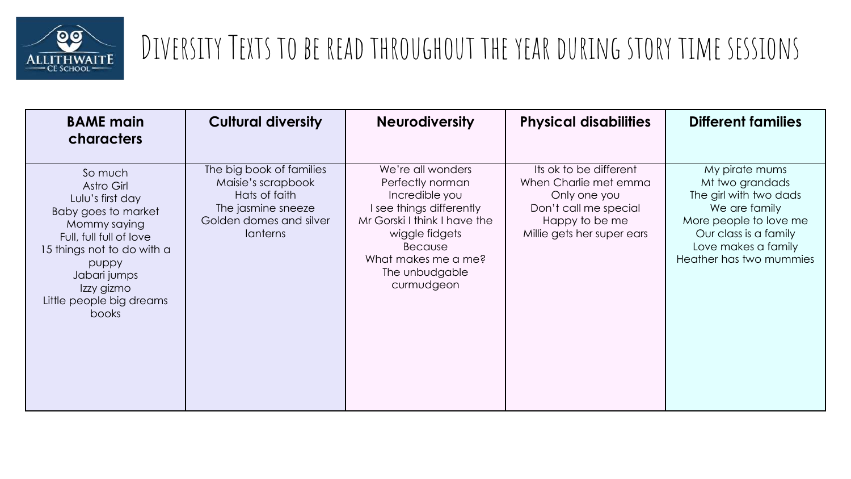

| <b>BAME main</b><br>characters                                                                                                                                                                                        | <b>Cultural diversity</b>                                                                                                    | <b>Neurodiversity</b>                                                                                                                                                                                   | <b>Physical disabilities</b>                                                                                                             | <b>Different families</b>                                                                                                                                                         |
|-----------------------------------------------------------------------------------------------------------------------------------------------------------------------------------------------------------------------|------------------------------------------------------------------------------------------------------------------------------|---------------------------------------------------------------------------------------------------------------------------------------------------------------------------------------------------------|------------------------------------------------------------------------------------------------------------------------------------------|-----------------------------------------------------------------------------------------------------------------------------------------------------------------------------------|
| So much<br>Astro Girl<br>Lulu's first day<br>Baby goes to market<br>Mommy saying<br>Full, full full of love<br>15 things not to do with a<br>puppy<br>Jabari jumps<br>Izzy gizmo<br>Little people big dreams<br>books | The big book of families<br>Maisie's scrapbook<br>Hats of faith<br>The jasmine sneeze<br>Golden domes and silver<br>lanterns | We're all wonders<br>Perfectly norman<br>Incredible you<br>I see things differently<br>Mr Gorski I think I have the<br>wiggle fidgets<br>Because<br>What makes me a me?<br>The unbudgable<br>curmudgeon | Its ok to be different<br>When Charlie met emma<br>Only one you<br>Don't call me special<br>Happy to be me<br>Millie gets her super ears | My pirate mums<br>Mt two grandads<br>The girl with two dads<br>We are family<br>More people to love me<br>Our class is a family<br>Love makes a family<br>Heather has two mummies |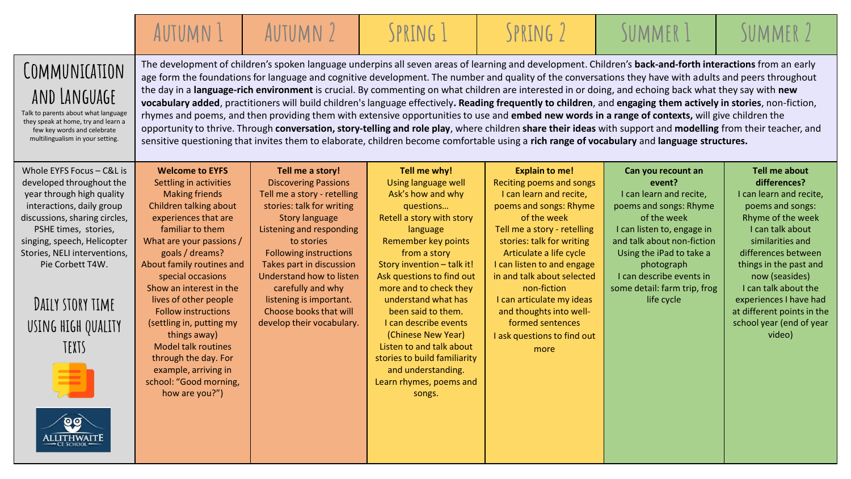|                                                                                                                                                                                                                                                                                                                             | AUTUMN 1                                                                                                                                                                                                                                                                                                                                                                                                                                                                                                 | AUTUMN 2                                                                                                                                                                                                                                                                                                                                                                       | SPRING 1                                                                                                                                                                                                                                                                                                                                                                                                                                                                                                                                                                                                                                                                                                                                                                                                                                                                                                                                                                                                                                                                                                             | SPRING 2                                                                                                                                                                                                                                                                                                                                                                                                   | SUMMER 1                                                                                                                                                                                                                                                                         | SUMMER 2                                                                                                                                                                                                                                                                                                                                  |
|-----------------------------------------------------------------------------------------------------------------------------------------------------------------------------------------------------------------------------------------------------------------------------------------------------------------------------|----------------------------------------------------------------------------------------------------------------------------------------------------------------------------------------------------------------------------------------------------------------------------------------------------------------------------------------------------------------------------------------------------------------------------------------------------------------------------------------------------------|--------------------------------------------------------------------------------------------------------------------------------------------------------------------------------------------------------------------------------------------------------------------------------------------------------------------------------------------------------------------------------|----------------------------------------------------------------------------------------------------------------------------------------------------------------------------------------------------------------------------------------------------------------------------------------------------------------------------------------------------------------------------------------------------------------------------------------------------------------------------------------------------------------------------------------------------------------------------------------------------------------------------------------------------------------------------------------------------------------------------------------------------------------------------------------------------------------------------------------------------------------------------------------------------------------------------------------------------------------------------------------------------------------------------------------------------------------------------------------------------------------------|------------------------------------------------------------------------------------------------------------------------------------------------------------------------------------------------------------------------------------------------------------------------------------------------------------------------------------------------------------------------------------------------------------|----------------------------------------------------------------------------------------------------------------------------------------------------------------------------------------------------------------------------------------------------------------------------------|-------------------------------------------------------------------------------------------------------------------------------------------------------------------------------------------------------------------------------------------------------------------------------------------------------------------------------------------|
| COMMUNICATION<br>AND LANGUAGE<br>Talk to parents about what language<br>they speak at home, try and learn a<br>few key words and celebrate<br>multilingualism in your setting.                                                                                                                                              |                                                                                                                                                                                                                                                                                                                                                                                                                                                                                                          |                                                                                                                                                                                                                                                                                                                                                                                | The development of children's spoken language underpins all seven areas of learning and development. Children's back-and-forth interactions from an early<br>age form the foundations for language and cognitive development. The number and quality of the conversations they have with adults and peers throughout<br>the day in a language-rich environment is crucial. By commenting on what children are interested in or doing, and echoing back what they say with new<br>vocabulary added, practitioners will build children's language effectively. Reading frequently to children, and engaging them actively in stories, non-fiction,<br>rhymes and poems, and then providing them with extensive opportunities to use and embed new words in a range of contexts, will give children the<br>opportunity to thrive. Through conversation, story-telling and role play, where children share their ideas with support and modelling from their teacher, and<br>sensitive questioning that invites them to elaborate, children become comfortable using a rich range of vocabulary and language structures. |                                                                                                                                                                                                                                                                                                                                                                                                            |                                                                                                                                                                                                                                                                                  |                                                                                                                                                                                                                                                                                                                                           |
| Whole EYFS Focus - C&L is<br>developed throughout the<br>year through high quality<br>interactions, daily group<br>discussions, sharing circles,<br>PSHE times, stories,<br>singing, speech, Helicopter<br>Stories, NELI interventions,<br>Pie Corbett T4W.<br>DAILY STORY TIME<br>USING HIGH QUALITY<br>TEXTS<br>ALLITHWAI | <b>Welcome to EYFS</b><br>Settling in activities<br><b>Making friends</b><br>Children talking about<br>experiences that are<br>familiar to them<br>What are your passions /<br>goals / dreams?<br>About family routines and<br>special occasions<br>Show an interest in the<br>lives of other people<br><b>Follow instructions</b><br>(settling in, putting my<br>things away)<br><b>Model talk routines</b><br>through the day. For<br>example, arriving in<br>school: "Good morning,<br>how are you?") | Tell me a story!<br><b>Discovering Passions</b><br>Tell me a story - retelling<br>stories: talk for writing<br><b>Story language</b><br>Listening and responding<br>to stories<br><b>Following instructions</b><br>Takes part in discussion<br>Understand how to listen<br>carefully and why<br>listening is important.<br>Choose books that will<br>develop their vocabulary. | Tell me why!<br>Using language well<br>Ask's how and why<br>questions<br>Retell a story with story<br>language<br>Remember key points<br>from a story<br>Story invention - talk it!<br>Ask questions to find out<br>more and to check they<br>understand what has<br>been said to them.<br>I can describe events<br>(Chinese New Year)<br>Listen to and talk about<br>stories to build familiarity<br>and understanding.<br>Learn rhymes, poems and<br>songs.                                                                                                                                                                                                                                                                                                                                                                                                                                                                                                                                                                                                                                                        | <b>Explain to me!</b><br>Reciting poems and songs<br>I can learn and recite,<br>poems and songs: Rhyme<br>of the week<br>Tell me a story - retelling<br>stories: talk for writing<br>Articulate a life cycle<br>I can listen to and engage<br>in and talk about selected<br>non-fiction<br>I can articulate my ideas<br>and thoughts into well-<br>formed sentences<br>I ask questions to find out<br>more | Can you recount an<br>event?<br>I can learn and recite,<br>poems and songs: Rhyme<br>of the week<br>I can listen to, engage in<br>and talk about non-fiction<br>Using the iPad to take a<br>photograph<br>I can describe events in<br>some detail: farm trip, frog<br>life cycle | <b>Tell me about</b><br>differences?<br>I can learn and recite,<br>poems and songs:<br>Rhyme of the week<br>I can talk about<br>similarities and<br>differences between<br>things in the past and<br>now (seasides)<br>I can talk about the<br>experiences I have had<br>at different points in the<br>school year (end of year<br>video) |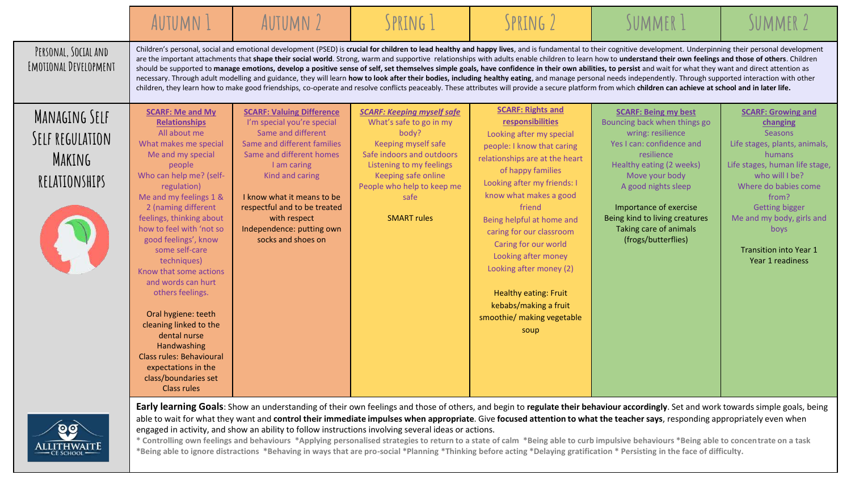|                                                             | <b>AUTUMN 1</b>                                                                                                                                                                                                                                                                                                                                                                                                                                                                                                                                                                                 | AUTUMN 2                                                                                                                                                                                                                                                                                                           | SPRING 1                                                                                                                                                                                                                                 | SPRING 2                                                                                                                                                                                                                                                                                                                                                                                                                                                    | SUMMER 1                                                                                                                                                                                                                                                                                                                                                                                                                                                                                                                                                                                                                                                                                                                                                                                                                                                                                                                                                                                                                                                                           | SUMMER <sub>2</sub>                                                                                                                                                                                                                                                                                 |
|-------------------------------------------------------------|-------------------------------------------------------------------------------------------------------------------------------------------------------------------------------------------------------------------------------------------------------------------------------------------------------------------------------------------------------------------------------------------------------------------------------------------------------------------------------------------------------------------------------------------------------------------------------------------------|--------------------------------------------------------------------------------------------------------------------------------------------------------------------------------------------------------------------------------------------------------------------------------------------------------------------|------------------------------------------------------------------------------------------------------------------------------------------------------------------------------------------------------------------------------------------|-------------------------------------------------------------------------------------------------------------------------------------------------------------------------------------------------------------------------------------------------------------------------------------------------------------------------------------------------------------------------------------------------------------------------------------------------------------|------------------------------------------------------------------------------------------------------------------------------------------------------------------------------------------------------------------------------------------------------------------------------------------------------------------------------------------------------------------------------------------------------------------------------------------------------------------------------------------------------------------------------------------------------------------------------------------------------------------------------------------------------------------------------------------------------------------------------------------------------------------------------------------------------------------------------------------------------------------------------------------------------------------------------------------------------------------------------------------------------------------------------------------------------------------------------------|-----------------------------------------------------------------------------------------------------------------------------------------------------------------------------------------------------------------------------------------------------------------------------------------------------|
| PERSONAL, SOCIAL AND<br>EMOTIONAL DEVELOPMENT               |                                                                                                                                                                                                                                                                                                                                                                                                                                                                                                                                                                                                 |                                                                                                                                                                                                                                                                                                                    |                                                                                                                                                                                                                                          |                                                                                                                                                                                                                                                                                                                                                                                                                                                             | Children's personal, social and emotional development (PSED) is crucial for children to lead healthy and happy lives, and is fundamental to their cognitive development. Underpinning their personal development<br>are the important attachments that shape their social world. Strong, warm and supportive relationships with adults enable children to learn how to understand their own feelings and those of others. Children<br>should be supported to manage emotions, develop a positive sense of self, set themselves simple goals, have confidence in their own abilities, to persist and wait for what they want and direct attention as<br>necessary. Through adult modelling and guidance, they will learn how to look after their bodies, including healthy eating, and manage personal needs independently. Through supported interaction with other<br>children, they learn how to make good friendships, co-operate and resolve conflicts peaceably. These attributes will provide a secure platform from which children can achieve at school and in later life. |                                                                                                                                                                                                                                                                                                     |
| MANAGING SELF<br>SELF REGULATION<br>MAKING<br>RELATIONSHIPS | <b>SCARF: Me and My</b><br><b>Relationships</b><br>All about me<br>What makes me special<br>Me and my special<br>people<br>Who can help me? (self-<br>regulation)<br>Me and my feelings 1 &<br>2 (naming different<br>feelings, thinking about<br>how to feel with 'not so<br>good feelings', know<br>some self-care<br>techniques)<br>Know that some actions<br>and words can hurt<br>others feelings.<br>Oral hygiene: teeth<br>cleaning linked to the<br>dental nurse<br>Handwashing<br><b>Class rules: Behavioural</b><br>expectations in the<br>class/boundaries set<br><b>Class rules</b> | <b>SCARF: Valuing Difference</b><br>I'm special you're special<br>Same and different<br>Same and different families<br>Same and different homes<br>I am caring<br>Kind and caring<br>I know what it means to be<br>respectful and to be treated<br>with respect<br>Independence: putting own<br>socks and shoes on | <b>SCARF: Keeping myself safe</b><br>What's safe to go in my<br>body?<br>Keeping myself safe<br>Safe indoors and outdoors<br>Listening to my feelings<br>Keeping safe online<br>People who help to keep me<br>safe<br><b>SMART rules</b> | <b>SCARF: Rights and</b><br>responsibilities<br>Looking after my special<br>people: I know that caring<br>relationships are at the heart<br>of happy families<br>Looking after my friends: I<br>know what makes a good<br>friend<br>Being helpful at home and<br>caring for our classroom<br>Caring for our world<br>Looking after money<br>Looking after money (2)<br>Healthy eating: Fruit<br>kebabs/making a fruit<br>smoothie/ making vegetable<br>soup | <b>SCARF: Being my best</b><br>Bouncing back when things go<br>wring: resilience<br>Yes I can: confidence and<br>resilience<br>Healthy eating (2 weeks)<br>Move your body<br>A good nights sleep<br>Importance of exercise<br>Being kind to living creatures<br>Taking care of animals<br>(frogs/butterflies)                                                                                                                                                                                                                                                                                                                                                                                                                                                                                                                                                                                                                                                                                                                                                                      | <b>SCARF: Growing and</b><br>changing<br>Seasons<br>Life stages, plants, animals,<br>humans<br>Life stages, human life stage,<br>who will I be?<br>Where do babies come<br>from?<br><b>Getting bigger</b><br>Me and my body, girls and<br>boys<br><b>Transition into Year 1</b><br>Year 1 readiness |



**Early learning Goals**: Show an understanding of their own feelings and those of others, and begin to **regulate their behaviour accordingly**. Set and work towards simple goals, being able to wait for what they want and **control their immediate impulses when appropriate**. Give **focused attention to what the teacher says**, responding appropriately even when engaged in activity, and show an ability to follow instructions involving several ideas or actions.

**\* Controlling own feelings and behaviours \*Applying personalised strategies to return to a state of calm \*Being able to curb impulsive behaviours \*Being able to concentrate on a task \*Being able to ignore distractions \*Behaving in ways that are pro-social \*Planning \*Thinking before acting \*Delaying gratification \* Persisting in the face of difficulty.**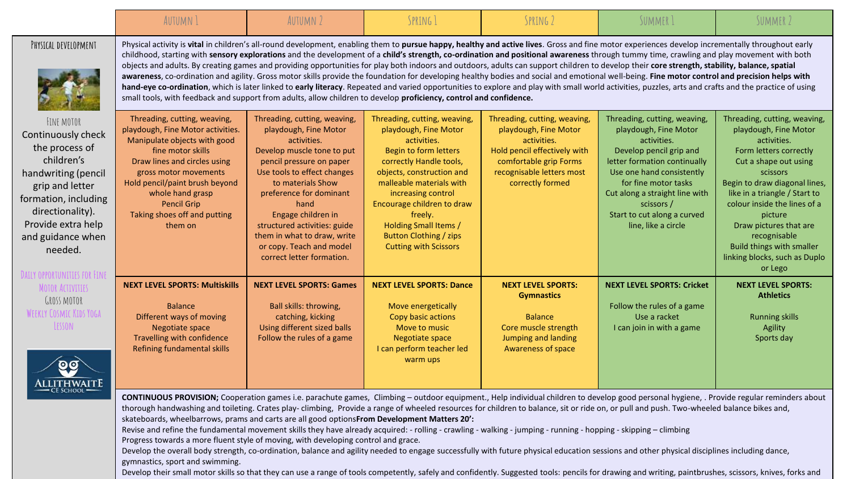|                                                                                                                                                                                                              | AUTUMN 1                                                                                                                                                                                                                                                                                                                                                                                                                                                                                                                                                                                                                                                                                                                                                                                                                                                                                                                                                                                                                                                                                                                        | AUTUMN 2                                                                                                                                                                                                                                                                                                                                                            | SPRING 1                                                                                                                                                                                                                                                                                                                                   | SPRING 2                                                                                                                                                                        | SUMMER 1                                                                                                                                                                                                                                                                                   | SUMMER 2                                                                                                                                                                                                                                                                                                                                                            |  |  |
|--------------------------------------------------------------------------------------------------------------------------------------------------------------------------------------------------------------|---------------------------------------------------------------------------------------------------------------------------------------------------------------------------------------------------------------------------------------------------------------------------------------------------------------------------------------------------------------------------------------------------------------------------------------------------------------------------------------------------------------------------------------------------------------------------------------------------------------------------------------------------------------------------------------------------------------------------------------------------------------------------------------------------------------------------------------------------------------------------------------------------------------------------------------------------------------------------------------------------------------------------------------------------------------------------------------------------------------------------------|---------------------------------------------------------------------------------------------------------------------------------------------------------------------------------------------------------------------------------------------------------------------------------------------------------------------------------------------------------------------|--------------------------------------------------------------------------------------------------------------------------------------------------------------------------------------------------------------------------------------------------------------------------------------------------------------------------------------------|---------------------------------------------------------------------------------------------------------------------------------------------------------------------------------|--------------------------------------------------------------------------------------------------------------------------------------------------------------------------------------------------------------------------------------------------------------------------------------------|---------------------------------------------------------------------------------------------------------------------------------------------------------------------------------------------------------------------------------------------------------------------------------------------------------------------------------------------------------------------|--|--|
| PHYSICAL DEVELOPMENT                                                                                                                                                                                         | Physical activity is vital in children's all-round development, enabling them to pursue happy, healthy and active lives. Gross and fine motor experiences develop incrementally throughout early<br>childhood, starting with sensory explorations and the development of a child's strength, co-ordination and positional awareness through tummy time, crawling and play movement with both<br>objects and adults. By creating games and providing opportunities for play both indoors and outdoors, adults can support children to develop their core strength, stability, balance, spatial<br>awareness, co-ordination and agility. Gross motor skills provide the foundation for developing healthy bodies and social and emotional well-being. Fine motor control and precision helps with<br>hand-eye co-ordination, which is later linked to early literacy. Repeated and varied opportunities to explore and play with small world activities, puzzles, arts and crafts and the practice of using<br>small tools, with feedback and support from adults, allow children to develop proficiency, control and confidence. |                                                                                                                                                                                                                                                                                                                                                                     |                                                                                                                                                                                                                                                                                                                                            |                                                                                                                                                                                 |                                                                                                                                                                                                                                                                                            |                                                                                                                                                                                                                                                                                                                                                                     |  |  |
| FINE MOTOR<br>Continuously check<br>the process of<br>children's<br>handwriting (pencil<br>grip and letter<br>formation, including<br>directionality).<br>Provide extra help<br>and guidance when<br>needed. | Threading, cutting, weaving,<br>playdough, Fine Motor activities.<br>Manipulate objects with good<br>fine motor skills<br>Draw lines and circles using<br>gross motor movements<br>Hold pencil/paint brush beyond<br>whole hand grasp<br><b>Pencil Grip</b><br>Taking shoes off and putting<br>them on                                                                                                                                                                                                                                                                                                                                                                                                                                                                                                                                                                                                                                                                                                                                                                                                                          | Threading, cutting, weaving,<br>playdough, Fine Motor<br>activities.<br>Develop muscle tone to put<br>pencil pressure on paper<br>Use tools to effect changes<br>to materials Show<br>preference for dominant<br>hand<br>Engage children in<br>structured activities: guide<br>them in what to draw, write<br>or copy. Teach and model<br>correct letter formation. | Threading, cutting, weaving,<br>playdough, Fine Motor<br>activities.<br>Begin to form letters<br>correctly Handle tools,<br>objects, construction and<br>malleable materials with<br>increasing control<br>Encourage children to draw<br>freely.<br>Holding Small Items /<br><b>Button Clothing / zips</b><br><b>Cutting with Scissors</b> | Threading, cutting, weaving,<br>playdough, Fine Motor<br>activities.<br>Hold pencil effectively with<br>comfortable grip Forms<br>recognisable letters most<br>correctly formed | Threading, cutting, weaving,<br>playdough, Fine Motor<br>activities.<br>Develop pencil grip and<br>letter formation continually<br>Use one hand consistently<br>for fine motor tasks<br>Cut along a straight line with<br>scissors /<br>Start to cut along a curved<br>line, like a circle | Threading, cutting, weaving,<br>playdough, Fine Motor<br>activities.<br>Form letters correctly<br>Cut a shape out using<br>scissors<br>Begin to draw diagonal lines,<br>like in a triangle / Start to<br>colour inside the lines of a<br>picture<br>Draw pictures that are<br>recognisable<br>Build things with smaller<br>linking blocks, such as Duplo<br>or Lego |  |  |
| <b>DAILY OPPORTUNITIES FOR FINE</b><br><b>MOTOR ACTIVITIES</b><br><b>GROSS MOTOR</b><br>WEEKLY COSMIC KIDS YOGA<br>LESSON<br>ALLITHWAITE                                                                     | <b>NEXT LEVEL SPORTS: Multiskills</b><br><b>Balance</b><br>Different ways of moving<br>Negotiate space<br>Travelling with confidence<br>Refining fundamental skills                                                                                                                                                                                                                                                                                                                                                                                                                                                                                                                                                                                                                                                                                                                                                                                                                                                                                                                                                             | <b>NEXT LEVEL SPORTS: Games</b><br>Ball skills: throwing,<br>catching, kicking<br>Using different sized balls<br>Follow the rules of a game                                                                                                                                                                                                                         | <b>NEXT LEVEL SPORTS: Dance</b><br>Move energetically<br>Copy basic actions<br>Move to music<br><b>Negotiate space</b><br>I can perform teacher led<br>warm ups                                                                                                                                                                            | <b>NEXT LEVEL SPORTS:</b><br><b>Gymnastics</b><br><b>Balance</b><br>Core muscle strength<br><b>Jumping and landing</b><br><b>Awareness of space</b>                             | <b>NEXT LEVEL SPORTS: Cricket</b><br>Follow the rules of a game<br>Use a racket<br>I can join in with a game                                                                                                                                                                               | <b>NEXT LEVEL SPORTS:</b><br><b>Athletics</b><br><b>Running skills</b><br>Agility<br>Sports day                                                                                                                                                                                                                                                                     |  |  |
|                                                                                                                                                                                                              | CONTINUOUS PROVISION; Cooperation games i.e. parachute games, Climbing - outdoor equipment., Help individual children to develop good personal hygiene, . Provide regular reminders about<br>thorough handwashing and toileting. Crates play-climbing, Provide a range of wheeled resources for children to balance, sit or ride on, or pull and push. Two-wheeled balance bikes and,<br>skateboards, wheelbarrows, prams and carts are all good optionsFrom Development Matters 20':<br>Revise and refine the fundamental movement skills they have already acquired: - rolling - crawling - walking - jumping - running - hopping - skipping - climbing                                                                                                                                                                                                                                                                                                                                                                                                                                                                       |                                                                                                                                                                                                                                                                                                                                                                     |                                                                                                                                                                                                                                                                                                                                            |                                                                                                                                                                                 |                                                                                                                                                                                                                                                                                            |                                                                                                                                                                                                                                                                                                                                                                     |  |  |

Progress towards a more fluent style of moving, with developing control and grace.

Develop the overall body strength, co-ordination, balance and agility needed to engage successfully with future physical education sessions and other physical disciplines including dance, gymnastics, sport and swimming.

Develop their small motor skills so that they can use a range of tools competently, safely and confidently. Suggested tools: pencils for drawing and writing, paintbrushes, scissors, knives, forks and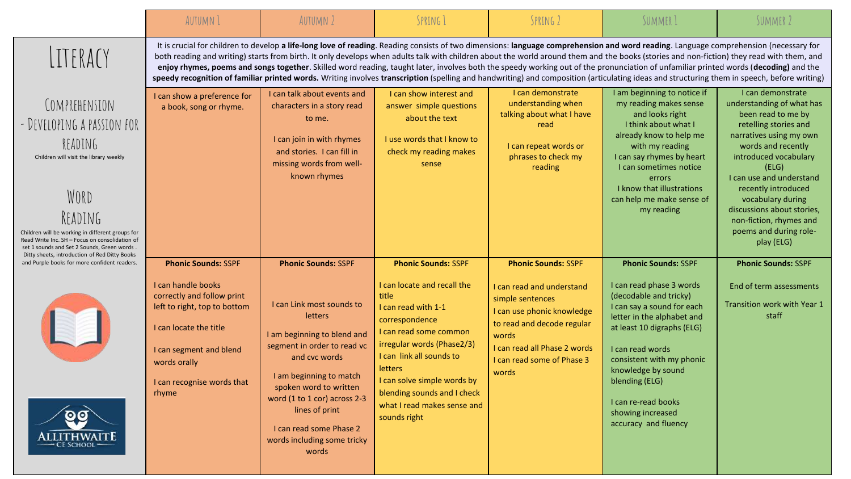|                                                                                                                                                                                                                                                                                                                           | <b>AUTUMN 1</b>                                                                                                                                                                                                            | <b>AUTUMN 2</b>                                                                                                                                                                                                                                                                                                             | SPRING 1                                                                                                                                                                                                                                                                                                                | SPRING 2                                                                                                                                                                                                                                                                                                                                                                                                                                                                                                                                                                                                                                                                                                                                                                  | SUMMER 1                                                                                                                                                                                                                                                                                                                                | SUMMER 2                                                                                                                                                                                                                                                                                                                                                  |
|---------------------------------------------------------------------------------------------------------------------------------------------------------------------------------------------------------------------------------------------------------------------------------------------------------------------------|----------------------------------------------------------------------------------------------------------------------------------------------------------------------------------------------------------------------------|-----------------------------------------------------------------------------------------------------------------------------------------------------------------------------------------------------------------------------------------------------------------------------------------------------------------------------|-------------------------------------------------------------------------------------------------------------------------------------------------------------------------------------------------------------------------------------------------------------------------------------------------------------------------|---------------------------------------------------------------------------------------------------------------------------------------------------------------------------------------------------------------------------------------------------------------------------------------------------------------------------------------------------------------------------------------------------------------------------------------------------------------------------------------------------------------------------------------------------------------------------------------------------------------------------------------------------------------------------------------------------------------------------------------------------------------------------|-----------------------------------------------------------------------------------------------------------------------------------------------------------------------------------------------------------------------------------------------------------------------------------------------------------------------------------------|-----------------------------------------------------------------------------------------------------------------------------------------------------------------------------------------------------------------------------------------------------------------------------------------------------------------------------------------------------------|
| LITERACY                                                                                                                                                                                                                                                                                                                  |                                                                                                                                                                                                                            |                                                                                                                                                                                                                                                                                                                             |                                                                                                                                                                                                                                                                                                                         | It is crucial for children to develop a life-long love of reading. Reading consists of two dimensions: language comprehension and word reading. Language comprehension (necessary for<br>both reading and writing) starts from birth. It only develops when adults talk with children about the world around them and the books (stories and non-fiction) they read with them, and<br>enjoy rhymes, poems and songs together. Skilled word reading, taught later, involves both the speedy working out of the pronunciation of unfamiliar printed words (decoding) and the<br>speedy recognition of familiar printed words. Writing involves transcription (spelling and handwriting) and composition (articulating ideas and structuring them in speech, before writing) |                                                                                                                                                                                                                                                                                                                                         |                                                                                                                                                                                                                                                                                                                                                           |
| COMPREHENSION<br>- DEVELOPING A PASSION FOR<br>READING<br>Children will visit the library weekly<br>WORD<br>READING<br>Children will be working in different groups for<br>Read Write Inc. SH - Focus on consolidation of<br>set 1 sounds and Set 2 Sounds, Green words.<br>Ditty sheets, introduction of Red Ditty Books | I can show a preference for<br>a book, song or rhyme.                                                                                                                                                                      | I can talk about events and<br>characters in a story read<br>to me.<br>I can join in with rhymes<br>and stories. I can fill in<br>missing words from well-<br>known rhymes                                                                                                                                                  | I can show interest and<br>answer simple questions<br>about the text<br>I use words that I know to<br>check my reading makes<br>sense                                                                                                                                                                                   | I can demonstrate<br>understanding when<br>talking about what I have<br>read<br>I can repeat words or<br>phrases to check my<br>reading                                                                                                                                                                                                                                                                                                                                                                                                                                                                                                                                                                                                                                   | I am beginning to notice if<br>my reading makes sense<br>and looks right<br>I think about what I<br>already know to help me<br>with my reading<br>I can say rhymes by heart<br>I can sometimes notice<br>errors<br>I know that illustrations<br>can help me make sense of<br>my reading                                                 | I can demonstrate<br>understanding of what has<br>been read to me by<br>retelling stories and<br>narratives using my own<br>words and recently<br>introduced vocabulary<br>(ELG)<br>I can use and understand<br>recently introduced<br>vocabulary during<br>discussions about stories,<br>non-fiction, rhymes and<br>poems and during role-<br>play (ELG) |
| and Purple books for more confident readers.<br><u>ତ ପ</u><br><b>ALLITHWAITE</b><br>- CE SCHOOL -                                                                                                                                                                                                                         | <b>Phonic Sounds: SSPF</b><br>I can handle books<br>correctly and follow print<br>left to right, top to bottom<br>I can locate the title<br>I can segment and blend<br>words orally<br>I can recognise words that<br>rhyme | <b>Phonic Sounds: SSPF</b><br>I can Link most sounds to<br>letters<br>I am beginning to blend and<br>segment in order to read vc<br>and cvc words<br>I am beginning to match<br>spoken word to written<br>word (1 to 1 cor) across 2-3<br>lines of print<br>I can read some Phase 2<br>words including some tricky<br>words | <b>Phonic Sounds: SSPF</b><br>I can locate and recall the<br>title<br>I can read with 1-1<br>correspondence<br>I can read some common<br>irregular words (Phase2/3)<br>I can link all sounds to<br>letters<br>I can solve simple words by<br>blending sounds and I check<br>what I read makes sense and<br>sounds right | <b>Phonic Sounds: SSPF</b><br>I can read and understand<br>simple sentences<br>I can use phonic knowledge<br>to read and decode regular<br>words<br>I can read all Phase 2 words<br>I can read some of Phase 3<br>words                                                                                                                                                                                                                                                                                                                                                                                                                                                                                                                                                   | <b>Phonic Sounds: SSPF</b><br>I can read phase 3 words<br>(decodable and tricky)<br>I can say a sound for each<br>letter in the alphabet and<br>at least 10 digraphs (ELG)<br>I can read words<br>consistent with my phonic<br>knowledge by sound<br>blending (ELG)<br>I can re-read books<br>showing increased<br>accuracy and fluency | <b>Phonic Sounds: SSPF</b><br>End of term assessments<br>Transition work with Year 1<br>staff                                                                                                                                                                                                                                                             |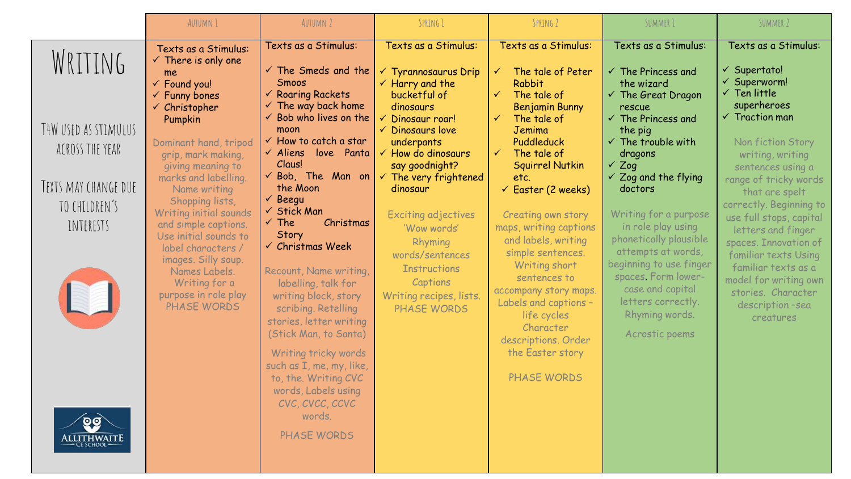|                                                                                                                         | <b>AUTUMN 1</b>                                                                                                                                                                                                                                                                                                                                                                                                                                                                 | <b>AUTUMN 2</b>                                                                                                                                                                                                                                                                                                                                                                                                                                                                                                                                                                                                                                                                                | SPRING 1                                                                                                                                                                                                                                                                                                                                                                                                                                                           | SPRING 2                                                                                                                                                                                                                                                                                                                                                                                                                                                                                                                           | SUMMER 1                                                                                                                                                                                                                                                                                                                                                                                                                                                                                               | SUMMER 2                                                                                                                                                                                                                                                                                                                                                                                                                                                                           |
|-------------------------------------------------------------------------------------------------------------------------|---------------------------------------------------------------------------------------------------------------------------------------------------------------------------------------------------------------------------------------------------------------------------------------------------------------------------------------------------------------------------------------------------------------------------------------------------------------------------------|------------------------------------------------------------------------------------------------------------------------------------------------------------------------------------------------------------------------------------------------------------------------------------------------------------------------------------------------------------------------------------------------------------------------------------------------------------------------------------------------------------------------------------------------------------------------------------------------------------------------------------------------------------------------------------------------|--------------------------------------------------------------------------------------------------------------------------------------------------------------------------------------------------------------------------------------------------------------------------------------------------------------------------------------------------------------------------------------------------------------------------------------------------------------------|------------------------------------------------------------------------------------------------------------------------------------------------------------------------------------------------------------------------------------------------------------------------------------------------------------------------------------------------------------------------------------------------------------------------------------------------------------------------------------------------------------------------------------|--------------------------------------------------------------------------------------------------------------------------------------------------------------------------------------------------------------------------------------------------------------------------------------------------------------------------------------------------------------------------------------------------------------------------------------------------------------------------------------------------------|------------------------------------------------------------------------------------------------------------------------------------------------------------------------------------------------------------------------------------------------------------------------------------------------------------------------------------------------------------------------------------------------------------------------------------------------------------------------------------|
| WRITING<br>TAW USED AS STIMULUS<br>ACROSS THE YEAR<br>TEXTS MAY CHANGE DUE<br>TO CHILDREN'S<br>INTERESTS<br>\LLITHWAIT. | Texts as a Stimulus:<br>$\checkmark$ There is only one<br>me<br>← Found you!<br>$\checkmark$ Funny bones<br>$\checkmark$ Christopher<br>Pumpkin<br>Dominant hand, tripod<br>grip, mark making,<br>giving meaning to<br>marks and labelling.<br>Name writing<br>Shopping lists,<br>Writing initial sounds<br>and simple captions.<br>Use initial sounds to<br>label characters /<br>images. Silly soup.<br>Names Labels.<br>Writing for a<br>purpose in role play<br>PHASE WORDS | Texts as a Stimulus:<br>$\checkmark$ The Smeds and the<br>Smoos<br>$\checkmark$ Roaring Rackets<br>$\checkmark$ The way back home<br>$\checkmark$ Bob who lives on the<br>moon<br>$\checkmark$ How to catch a star<br>love Panta<br>$\checkmark$ Aliens<br>Claus!<br>the Moon<br>$\checkmark$ Beegu<br>$\checkmark$ Stick Man<br>Christmas<br>√ The<br>Story<br>$\checkmark$ Christmas Week<br>Recount, Name writing,<br>labelling, talk for<br>writing block, story<br>scribing. Retelling<br>stories, letter writing<br>(Stick Man, to Santa)<br>Writing tricky words<br>such as I, me, my, like,<br>to, the. Writing CVC<br>words, Labels using<br>CVC, CVCC, CCVC<br>words.<br>PHASE WORDS | Texts as a Stimulus:<br>$\checkmark$ Tyrannosaurus Drip<br>$\checkmark$ Harry and the<br>bucketful of<br>dinosaurs<br>Dinosaur roar!<br>$\checkmark$ Dinosaurs love<br>underpants<br>$\checkmark$ How do dinosaurs<br>say goodnight?<br>$\checkmark$ Bob, The Man on $\checkmark$ The very frightened<br>dinosaur<br>Exciting adjectives<br>'Wow words'<br>Rhyming<br>words/sentences<br><b>Instructions</b><br>Captions<br>Writing recipes, lists.<br>PHASE WORDS | Texts as a Stimulus:<br>The tale of Peter<br>$\checkmark$<br>Rabbit<br>The tale of<br>$\checkmark$<br><b>Benjamin Bunny</b><br>The tale of<br>Jemima<br>Puddleduck<br>$\checkmark$<br>The tale of<br>Squirrel Nutkin<br>etc.<br>$\checkmark$ Easter (2 weeks)<br>Creating own story<br>maps, writing captions<br>and labels, writing<br>simple sentences.<br>Writing short<br>sentences to<br>accompany story maps.<br>Labels and captions -<br>life cycles<br>Character<br>descriptions. Order<br>the Easter story<br>PHASE WORDS | Texts as a Stimulus:<br>$\checkmark$ The Princess and<br>the wizard<br>$\checkmark$ The Great Dragon<br>rescue<br>$\checkmark$ The Princess and<br>the pig<br>$\checkmark$ The trouble with<br>dragons<br>$\checkmark$ Zog<br>$\checkmark$ Zog and the flying<br>doctors<br>Writing for a purpose<br>in role play using<br>phonetically plausible<br>attempts at words,<br>beginning to use finger<br>spaces Form lower-<br>case and capital<br>letters correctly.<br>Rhyming words.<br>Acrostic poems | Texts as a Stimulus:<br>$\checkmark$ Supertato!<br>√ Superworm!<br>$\checkmark$ Ten little<br>superheroes<br>$\checkmark$ Traction man<br>Non fiction Story<br>writing, writing<br>sentences using a<br>range of tricky words<br>that are spelt<br>correctly. Beginning to<br>use full stops, capital<br>letters and finger<br>spaces. Innovation of<br>familiar texts Using<br>familiar texts as a<br>model for writing own<br>stories. Character<br>description-sea<br>creatures |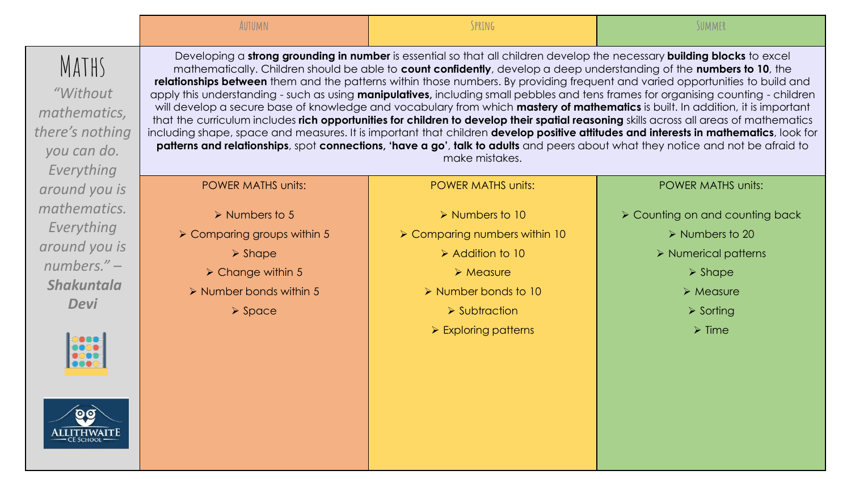|                                                                                    | AUTUMN                                                       | SPRING                                                                                                                                                                                                                                                                                                                                                                                                                                                                                                                                                                                                                                                                                                                                                                                                                                                                                                                                                                                                                                                                                            | SUMMER                                                            |
|------------------------------------------------------------------------------------|--------------------------------------------------------------|---------------------------------------------------------------------------------------------------------------------------------------------------------------------------------------------------------------------------------------------------------------------------------------------------------------------------------------------------------------------------------------------------------------------------------------------------------------------------------------------------------------------------------------------------------------------------------------------------------------------------------------------------------------------------------------------------------------------------------------------------------------------------------------------------------------------------------------------------------------------------------------------------------------------------------------------------------------------------------------------------------------------------------------------------------------------------------------------------|-------------------------------------------------------------------|
| MATHS<br>"Without"<br>mathematics,<br>there's nothing<br>you can do.<br>Everything |                                                              | Developing a strong grounding in number is essential so that all children develop the necessary building blocks to excel<br>mathematically. Children should be able to count confidently, develop a deep understanding of the numbers to 10, the<br>relationships between them and the patterns within those numbers. By providing frequent and varied opportunities to build and<br>apply this understanding - such as using manipulatives, including small pebbles and tens frames for organising counting - children<br>will develop a secure base of knowledge and vocabulary from which mastery of mathematics is built. In addition, it is important<br>that the curriculum includes rich opportunities for children to develop their spatial reasoning skills across all areas of mathematics<br>including shape, space and measures. It is important that children develop positive attitudes and interests in mathematics, look for<br>patterns and relationships, spot connections, 'have a go', talk to adults and peers about what they notice and not be afraid to<br>make mistakes. |                                                                   |
| around you is                                                                      | <b>POWER MATHS units:</b>                                    | <b>POWER MATHS units:</b>                                                                                                                                                                                                                                                                                                                                                                                                                                                                                                                                                                                                                                                                                                                                                                                                                                                                                                                                                                                                                                                                         | <b>POWER MATHS units:</b>                                         |
| mathematics.<br>Everything                                                         | $\triangleright$ Numbers to 5<br>> Comparing groups within 5 | $\triangleright$ Numbers to 10<br>> Comparing numbers within 10                                                                                                                                                                                                                                                                                                                                                                                                                                                                                                                                                                                                                                                                                                                                                                                                                                                                                                                                                                                                                                   | ▶ Counting on and counting back<br>$\triangleright$ Numbers to 20 |
| around you is<br>$numbers. -$                                                      | $\triangleright$ Shape<br>$\triangleright$ Change within 5   | $\triangleright$ Addition to 10<br>$\triangleright$ Measure                                                                                                                                                                                                                                                                                                                                                                                                                                                                                                                                                                                                                                                                                                                                                                                                                                                                                                                                                                                                                                       | $\triangleright$ Numerical patterns                               |
| <b>Shakuntala</b><br><b>Devi</b>                                                   | $\triangleright$ Number bonds within 5                       | > Number bonds to 10                                                                                                                                                                                                                                                                                                                                                                                                                                                                                                                                                                                                                                                                                                                                                                                                                                                                                                                                                                                                                                                                              | $\triangleright$ Shape<br>$\triangleright$ Measure                |
|                                                                                    | $\triangleright$ Space                                       | $\triangleright$ Subtraction<br>$\triangleright$ Exploring patterns                                                                                                                                                                                                                                                                                                                                                                                                                                                                                                                                                                                                                                                                                                                                                                                                                                                                                                                                                                                                                               | $\triangleright$ Sorting<br>$\triangleright$ Time                 |
|                                                                                    |                                                              |                                                                                                                                                                                                                                                                                                                                                                                                                                                                                                                                                                                                                                                                                                                                                                                                                                                                                                                                                                                                                                                                                                   |                                                                   |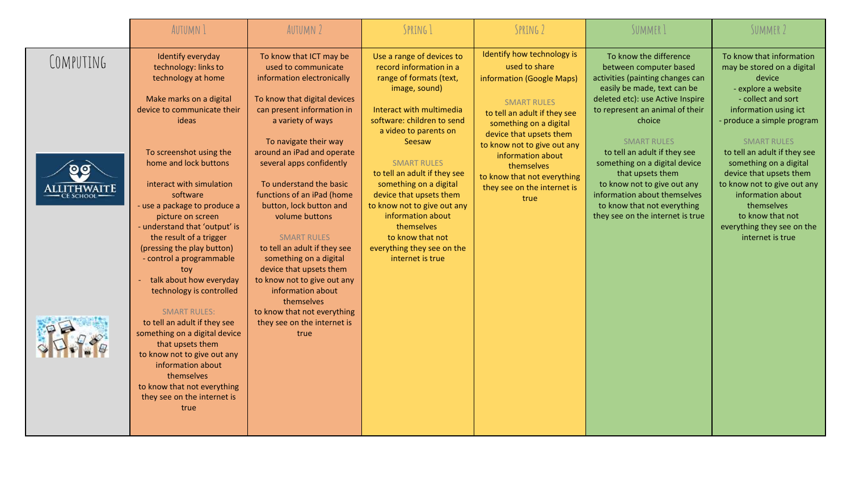|                                       | <b>AUTUMN 1</b>                                                                                                                                                                                                                                                                                                                                                                                                                                                                                                                                                                                                                                                                                                                    | AUTUMN 2                                                                                                                                                                                                                                                                                                                                                                                                                                                                                                                                                                                                    | SPRING 1                                                                                                                                                                                                                                                                                                                                                                                                                                         | SPRING 2                                                                                                                                                                                                                                                                                                                    | SUMMER 1                                                                                                                                                                                                                                                                                                                                                                                                                                          | SUMMER 2                                                                                                                                                                                                                                                                                                                                                                                                                |
|---------------------------------------|------------------------------------------------------------------------------------------------------------------------------------------------------------------------------------------------------------------------------------------------------------------------------------------------------------------------------------------------------------------------------------------------------------------------------------------------------------------------------------------------------------------------------------------------------------------------------------------------------------------------------------------------------------------------------------------------------------------------------------|-------------------------------------------------------------------------------------------------------------------------------------------------------------------------------------------------------------------------------------------------------------------------------------------------------------------------------------------------------------------------------------------------------------------------------------------------------------------------------------------------------------------------------------------------------------------------------------------------------------|--------------------------------------------------------------------------------------------------------------------------------------------------------------------------------------------------------------------------------------------------------------------------------------------------------------------------------------------------------------------------------------------------------------------------------------------------|-----------------------------------------------------------------------------------------------------------------------------------------------------------------------------------------------------------------------------------------------------------------------------------------------------------------------------|---------------------------------------------------------------------------------------------------------------------------------------------------------------------------------------------------------------------------------------------------------------------------------------------------------------------------------------------------------------------------------------------------------------------------------------------------|-------------------------------------------------------------------------------------------------------------------------------------------------------------------------------------------------------------------------------------------------------------------------------------------------------------------------------------------------------------------------------------------------------------------------|
| COMPUTING<br>$\mathbf{O}(\mathbf{O})$ | Identify everyday<br>technology: links to<br>technology at home<br>Make marks on a digital<br>device to communicate their<br><b>ideas</b><br>To screenshot using the<br>home and lock buttons<br>interact with simulation<br>software<br>- use a package to produce a<br>picture on screen<br>- understand that 'output' is<br>the result of a trigger<br>(pressing the play button)<br>- control a programmable<br>tov<br>talk about how everyday<br>technology is controlled<br><b>SMART RULES:</b><br>to tell an adult if they see<br>something on a digital device<br>that upsets them<br>to know not to give out any<br>information about<br>themselves<br>to know that not everything<br>they see on the internet is<br>true | To know that ICT may be<br>used to communicate<br>information electronically<br>To know that digital devices<br>can present information in<br>a variety of ways<br>To navigate their way<br>around an iPad and operate<br>several apps confidently<br>To understand the basic<br>functions of an iPad (home<br>button, lock button and<br>volume buttons<br><b>SMART RULES</b><br>to tell an adult if they see<br>something on a digital<br>device that upsets them<br>to know not to give out any<br>information about<br>themselves<br>to know that not everything<br>they see on the internet is<br>true | Use a range of devices to<br>record information in a<br>range of formats (text,<br>image, sound)<br>Interact with multimedia<br>software: children to send<br>a video to parents on<br>Seesaw<br><b>SMART RULES</b><br>to tell an adult if they see<br>something on a digital<br>device that upsets them<br>to know not to give out any<br>information about<br>themselves<br>to know that not<br>everything they see on the<br>internet is true | Identify how technology is<br>used to share<br>information (Google Maps)<br><b>SMART RULES</b><br>to tell an adult if they see<br>something on a digital<br>device that upsets them<br>to know not to give out any<br>information about<br>themselves<br>to know that not everything<br>they see on the internet is<br>true | To know the difference<br>between computer based<br>activities (painting changes can<br>easily be made, text can be<br>deleted etc): use Active Inspire<br>to represent an animal of their<br>choice<br><b>SMART RULES</b><br>to tell an adult if they see<br>something on a digital device<br>that upsets them<br>to know not to give out any<br>information about themselves<br>to know that not everything<br>they see on the internet is true | To know that information<br>may be stored on a digital<br>device<br>- explore a website<br>- collect and sort<br>information using ict<br>- produce a simple program<br><b>SMART RULES</b><br>to tell an adult if they see<br>something on a digital<br>device that upsets them<br>to know not to give out any<br>information about<br>themselves<br>to know that not<br>everything they see on the<br>internet is true |
|                                       |                                                                                                                                                                                                                                                                                                                                                                                                                                                                                                                                                                                                                                                                                                                                    |                                                                                                                                                                                                                                                                                                                                                                                                                                                                                                                                                                                                             |                                                                                                                                                                                                                                                                                                                                                                                                                                                  |                                                                                                                                                                                                                                                                                                                             |                                                                                                                                                                                                                                                                                                                                                                                                                                                   |                                                                                                                                                                                                                                                                                                                                                                                                                         |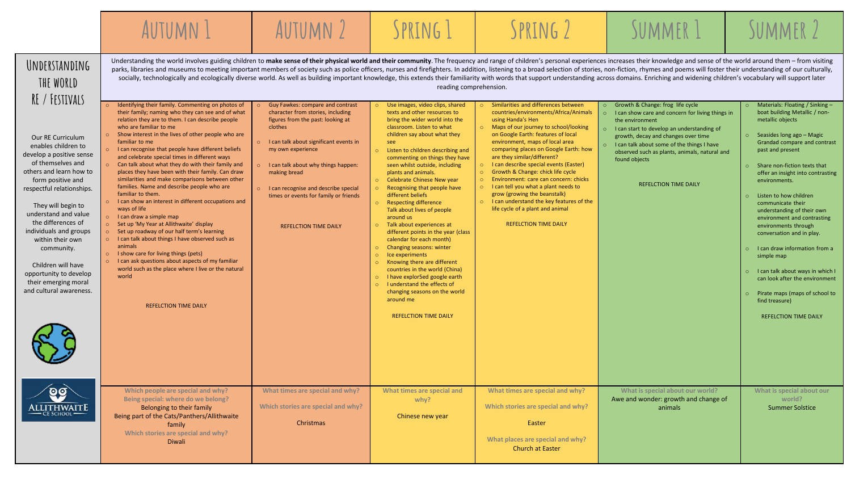|                                                                                                                                                                                                                                                                                                                                                                                                           | AUTUMN 1                                                                                                                                                                                                                                                                                                                                                                                                                                                                                                                                                                                                                                                                                                                                                                                                                                                                                                                                                                                                                                                                               | AUTUMN 2                                                                                                                                                                                                                                                                                                                                                                    | SPRING 1                                                                                                                                                                                                                                                                                                                                                                                                                                                                                                                                                                                                                                                                                                                                                                                                                                                                                                                        | SPRING 2                                                                                                                                                                                                                                                                                                                                                                                                                                                                                                                                                                                                                                        | SUMMER 1                                                                                                                                                                                                                                                                                                                                                      | SUMMER 2                                                                                                                                                                                                                                                                                                                                                                                                                                                                                                                                                                                                                                                      |
|-----------------------------------------------------------------------------------------------------------------------------------------------------------------------------------------------------------------------------------------------------------------------------------------------------------------------------------------------------------------------------------------------------------|----------------------------------------------------------------------------------------------------------------------------------------------------------------------------------------------------------------------------------------------------------------------------------------------------------------------------------------------------------------------------------------------------------------------------------------------------------------------------------------------------------------------------------------------------------------------------------------------------------------------------------------------------------------------------------------------------------------------------------------------------------------------------------------------------------------------------------------------------------------------------------------------------------------------------------------------------------------------------------------------------------------------------------------------------------------------------------------|-----------------------------------------------------------------------------------------------------------------------------------------------------------------------------------------------------------------------------------------------------------------------------------------------------------------------------------------------------------------------------|---------------------------------------------------------------------------------------------------------------------------------------------------------------------------------------------------------------------------------------------------------------------------------------------------------------------------------------------------------------------------------------------------------------------------------------------------------------------------------------------------------------------------------------------------------------------------------------------------------------------------------------------------------------------------------------------------------------------------------------------------------------------------------------------------------------------------------------------------------------------------------------------------------------------------------|-------------------------------------------------------------------------------------------------------------------------------------------------------------------------------------------------------------------------------------------------------------------------------------------------------------------------------------------------------------------------------------------------------------------------------------------------------------------------------------------------------------------------------------------------------------------------------------------------------------------------------------------------|---------------------------------------------------------------------------------------------------------------------------------------------------------------------------------------------------------------------------------------------------------------------------------------------------------------------------------------------------------------|---------------------------------------------------------------------------------------------------------------------------------------------------------------------------------------------------------------------------------------------------------------------------------------------------------------------------------------------------------------------------------------------------------------------------------------------------------------------------------------------------------------------------------------------------------------------------------------------------------------------------------------------------------------|
| UNDERSTANDING<br>THE WORLD<br>RE / FESTIVALS                                                                                                                                                                                                                                                                                                                                                              | Understanding the world involves guiding children to make sense of their physical world and their community. The frequency and range of children's personal experiences increases their knowledge and sense of the world aroun<br>parks, libraries and museums to meeting important members of society such as police officers, nurses and firefighters. In addition, listening to a broad selection of stories, non-fiction, rhymes and poems will foster their<br>socially, technologically and ecologically diverse world. As well as building important knowledge, this extends their familiarity with words that support understanding across domains. Enriching and widening children's voca                                                                                                                                                                                                                                                                                                                                                                                     |                                                                                                                                                                                                                                                                                                                                                                             | reading comprehension.                                                                                                                                                                                                                                                                                                                                                                                                                                                                                                                                                                                                                                                                                                                                                                                                                                                                                                          |                                                                                                                                                                                                                                                                                                                                                                                                                                                                                                                                                                                                                                                 |                                                                                                                                                                                                                                                                                                                                                               |                                                                                                                                                                                                                                                                                                                                                                                                                                                                                                                                                                                                                                                               |
| Our RE Curriculum<br>enables children to<br>develop a positive sense<br>of themselves and<br>others and learn how to<br>form positive and<br>respectful relationships.<br>They will begin to<br>understand and value<br>the differences of<br>individuals and groups<br>within their own<br>community.<br>Children will have<br>opportunity to develop<br>their emerging moral<br>and cultural awareness. | Identifying their family. Commenting on photos of<br>their family; naming who they can see and of what<br>relation they are to them. I can describe people<br>who are familiar to me<br>Show interest in the lives of other people who are<br>familiar to me<br>o I can recognise that people have different beliefs<br>and celebrate special times in different ways<br>$\circ$ Can talk about what they do with their family and<br>places they have been with their family. Can draw<br>similarities and make comparisons between other<br>families. Name and describe people who are<br>familiar to them.<br>o I can show an interest in different occupations and<br>ways of life<br>o I can draw a simple map<br>○ Set up 'My Year at Allithwaite' display<br>○ Set up roadway of our half term's learning<br>o I can talk about things I have observed such as<br>animals<br>o I show care for living things (pets)<br>$\circ$ I can ask questions about aspects of my familiar<br>world such as the place where I live or the natural<br>world<br><b>REFELCTION TIME DAILY</b> | Guy Fawkes: compare and contrast<br>character from stories, including<br>figures from the past: looking at<br>clothes<br>I can talk about significant events in<br>$\circ$<br>my own experience<br>o I can talk about why things happen:<br>making bread<br>o I can recognise and describe special<br>times or events for family or friends<br><b>REFELCTION TIME DAILY</b> | Use images, video clips, shared<br>$\circ$<br>texts and other resources to<br>bring the wider world into the<br>classroom. Listen to what<br>children say about what they<br>see<br>o Listen to children describing and<br>commenting on things they have<br>seen whilst outside, including<br>plants and animals.<br>Celebrate Chinese New year<br>$\circ$<br>o Recognising that people have<br>different beliefs<br><b>Respecting difference</b><br>$\circ$<br>Talk about lives of people<br>around us<br>o Talk about experiences at<br>different points in the year (class<br>calendar for each month)<br>Changing seasons: winter<br>$\circ$<br>$\circ$<br>Ice experiments<br>Knowing there are different<br>$\circ$<br>countries in the world (China)<br>I have explor5ed google earth<br>$\circ$<br>$\circ$<br>I understand the effects of<br>changing seasons on the world<br>around me<br><b>REFELCTION TIME DAILY</b> | o Similarities and differences between<br>countries/environments/Africa/Animals<br>using Handa's Hen<br>o Maps of our journey to school/looking<br>on Google Earth: features of local<br>environment, maps of local area<br>comparing places on Google Earth: how<br>are they similar/different?<br>o I can describe special events (Easter)<br>$\circ$<br>Growth & Change: chick life cycle<br>o Environment: care can concern: chicks<br>$\circ$ I can tell you what a plant needs to<br>grow (growing the beanstalk)<br>$\circ$ I can understand the key features of the<br>life cycle of a plant and animal<br><b>REFELCTION TIME DAILY</b> | o Growth & Change: frog life cycle<br>$\circ$<br>I can show care and concern for living things in<br>the environment<br>o I can start to develop an understanding of<br>growth, decay and changes over time<br>o I can talk about some of the things I have<br>observed such as plants, animals, natural and<br>found objects<br><b>REFELCTION TIME DAILY</b> | Materials: Floating / Sinking -<br>boat building Metallic / non-<br>metallic objects<br>$\circ$ Seasides long ago – Magic<br>Grandad compare and contrast<br>past and present<br>o Share non-fiction texts that<br>offer an insight into contrasting<br>environments.<br>$\circ$ Listen to how children<br>communicate their<br>understanding of their own<br>environment and contrasting<br>environments through<br>conversation and in play.<br>o I can draw information from a<br>simple map<br>o I can talk about ways in which I<br>can look after the environment<br>o Pirate maps (maps of school to<br>find treasure)<br><b>REFELCTION TIME DAILY</b> |
| <b>ALLITHWAITE</b>                                                                                                                                                                                                                                                                                                                                                                                        | Which people are special and why?<br>Being special: where do we belong?<br>Belonging to their family<br>Being part of the Cats/Panthers/Allithwaite<br>family<br>Which stories are special and why?<br>Diwali                                                                                                                                                                                                                                                                                                                                                                                                                                                                                                                                                                                                                                                                                                                                                                                                                                                                          | What times are special and why?<br>Which stories are special and why?<br>Christmas                                                                                                                                                                                                                                                                                          | What times are special and<br>whv?<br>Chinese new year                                                                                                                                                                                                                                                                                                                                                                                                                                                                                                                                                                                                                                                                                                                                                                                                                                                                          | What times are special and why?<br>Which stories are special and why?<br>Easter<br>What places are special and why?<br><b>Church at Easter</b>                                                                                                                                                                                                                                                                                                                                                                                                                                                                                                  | What is special about our world?<br>Awe and wonder: growth and change of<br>animals                                                                                                                                                                                                                                                                           | What is special about our<br>world?<br><b>Summer Solstice</b>                                                                                                                                                                                                                                                                                                                                                                                                                                                                                                                                                                                                 |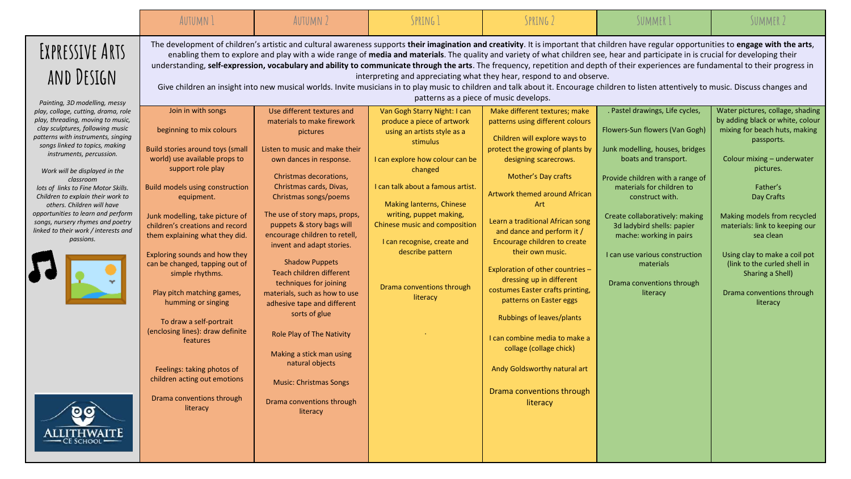|                                                                                                                                                                                                                                                                                                                                                                                                                                                                                                                                                                           | <b>AUTUMN 1</b>                                                                                                                                                                                                                                                                                                                                                                                                                                                                                                                                                                             | <b>AUTUMN 2</b>                                                                                                                                                                                                                                                                                                                                                                                                                                                                                                                                                                                                          | SPRING 1                                                                                                                                                                                                                                                                                                                                                                                                                                                                                                                                                                                                                                                                                                                                                                                                                                                                                                                                                                                                                                                                                                                                                                                                                                                                | SPRING 2                                                                                                                                                                                                                                                                                                                                                                                                                                                                                                                                                                                                            | SUMMER 1                                                                                                                                                                                                                                                                                                                                                                                            | SUMMER 2                                                                                                                                                                                                                                                                                                                                                                                             |
|---------------------------------------------------------------------------------------------------------------------------------------------------------------------------------------------------------------------------------------------------------------------------------------------------------------------------------------------------------------------------------------------------------------------------------------------------------------------------------------------------------------------------------------------------------------------------|---------------------------------------------------------------------------------------------------------------------------------------------------------------------------------------------------------------------------------------------------------------------------------------------------------------------------------------------------------------------------------------------------------------------------------------------------------------------------------------------------------------------------------------------------------------------------------------------|--------------------------------------------------------------------------------------------------------------------------------------------------------------------------------------------------------------------------------------------------------------------------------------------------------------------------------------------------------------------------------------------------------------------------------------------------------------------------------------------------------------------------------------------------------------------------------------------------------------------------|-------------------------------------------------------------------------------------------------------------------------------------------------------------------------------------------------------------------------------------------------------------------------------------------------------------------------------------------------------------------------------------------------------------------------------------------------------------------------------------------------------------------------------------------------------------------------------------------------------------------------------------------------------------------------------------------------------------------------------------------------------------------------------------------------------------------------------------------------------------------------------------------------------------------------------------------------------------------------------------------------------------------------------------------------------------------------------------------------------------------------------------------------------------------------------------------------------------------------------------------------------------------------|---------------------------------------------------------------------------------------------------------------------------------------------------------------------------------------------------------------------------------------------------------------------------------------------------------------------------------------------------------------------------------------------------------------------------------------------------------------------------------------------------------------------------------------------------------------------------------------------------------------------|-----------------------------------------------------------------------------------------------------------------------------------------------------------------------------------------------------------------------------------------------------------------------------------------------------------------------------------------------------------------------------------------------------|------------------------------------------------------------------------------------------------------------------------------------------------------------------------------------------------------------------------------------------------------------------------------------------------------------------------------------------------------------------------------------------------------|
| EXPRESSIVE ARTS<br>AND DESIGN<br>Painting, 3D modelling, messy<br>play, collage, cutting, drama, role<br>play, threading, moving to music,<br>clay sculptures, following music<br>patterns with instruments, singing<br>songs linked to topics, making<br>instruments, percussion.<br>Work will be displayed in the<br>classroom<br>lots of links to Fine Motor Skills.<br>Children to explain their work to<br>others. Children will have<br>opportunities to learn and perform<br>songs, nursery rhymes and poetry<br>linked to their work / interests and<br>passions. | Join in with songs<br>beginning to mix colours<br>Build stories around toys (small<br>world) use available props to<br>support role play<br><b>Build models using construction</b><br>equipment.<br>Junk modelling, take picture of<br>children's creations and record<br>them explaining what they did.<br>Exploring sounds and how they<br>can be changed, tapping out of<br>simple rhythms.<br>Play pitch matching games,<br>humming or singing<br>To draw a self-portrait<br>(enclosing lines): draw definite<br>features<br>Feelings: taking photos of<br>children acting out emotions | Use different textures and<br>materials to make firework<br>pictures<br>Listen to music and make their<br>own dances in response.<br>Christmas decorations,<br>Christmas cards, Divas,<br>Christmas songs/poems<br>The use of story maps, props,<br>puppets & story bags will<br>encourage children to retell,<br>invent and adapt stories.<br><b>Shadow Puppets</b><br>Teach children different<br>techniques for joining<br>materials, such as how to use<br>adhesive tape and different<br>sorts of glue<br>Role Play of The Nativity<br>Making a stick man using<br>natural objects<br><b>Music: Christmas Songs</b> | The development of children's artistic and cultural awareness supports their imagination and creativity. It is important that children have regular opportunities to engage with the arts,<br>enabling them to explore and play with a wide range of media and materials. The quality and variety of what children see, hear and participate in is crucial for developing their<br>understanding, self-expression, vocabulary and ability to communicate through the arts. The frequency, repetition and depth of their experiences are fundamental to their progress in<br>interpreting and appreciating what they hear, respond to and observe.<br>Give children an insight into new musical worlds. Invite musicians in to play music to children and talk about it. Encourage children to listen attentively to music. Discuss changes and<br>patterns as a piece of music develops.<br>Van Gogh Starry Night: I can<br>produce a piece of artwork<br>using an artists style as a<br>stimulus<br>I can explore how colour can be<br>changed<br>I can talk about a famous artist<br>Making lanterns, Chinese<br>writing, puppet making,<br>Chinese music and composition<br>I can recognise, create and<br>describe pattern<br>Drama conventions through<br>literacy | Make different textures; make<br>patterns using different colours<br>Children will explore ways to<br>protect the growing of plants by<br>designing scarecrows.<br>Mother's Day crafts<br><b>Artwork themed around African</b><br>Art<br>Learn a traditional African song<br>and dance and perform it /<br>Encourage children to create<br>their own music.<br>Exploration of other countries -<br>dressing up in different<br>costumes Easter crafts printing,<br>patterns on Easter eggs<br>Rubbings of leaves/plants<br>I can combine media to make a<br>collage (collage chick)<br>Andy Goldsworthy natural art | . Pastel drawings, Life cycles,<br>Flowers-Sun flowers (Van Gogh)<br>Junk modelling, houses, bridges<br>boats and transport.<br>Provide children with a range of<br>materials for children to<br>construct with.<br>Create collaboratively: making<br>3d ladybird shells: papier<br>mache: working in pairs<br>I can use various construction<br>materials<br>Drama conventions through<br>literacy | Water pictures, collage, shading<br>by adding black or white, colour<br>mixing for beach huts, making<br>passports.<br>Colour mixing - underwater<br>pictures.<br>Father's<br>Day Crafts<br>Making models from recycled<br>materials: link to keeping our<br>sea clean<br>Using clay to make a coil pot<br>(link to the curled shell in<br>Sharing a Shell)<br>Drama conventions through<br>literacy |
|                                                                                                                                                                                                                                                                                                                                                                                                                                                                                                                                                                           | Drama conventions through<br>literacy                                                                                                                                                                                                                                                                                                                                                                                                                                                                                                                                                       | Drama conventions through<br>literacy                                                                                                                                                                                                                                                                                                                                                                                                                                                                                                                                                                                    |                                                                                                                                                                                                                                                                                                                                                                                                                                                                                                                                                                                                                                                                                                                                                                                                                                                                                                                                                                                                                                                                                                                                                                                                                                                                         | Drama conventions through<br>literacy                                                                                                                                                                                                                                                                                                                                                                                                                                                                                                                                                                               |                                                                                                                                                                                                                                                                                                                                                                                                     |                                                                                                                                                                                                                                                                                                                                                                                                      |